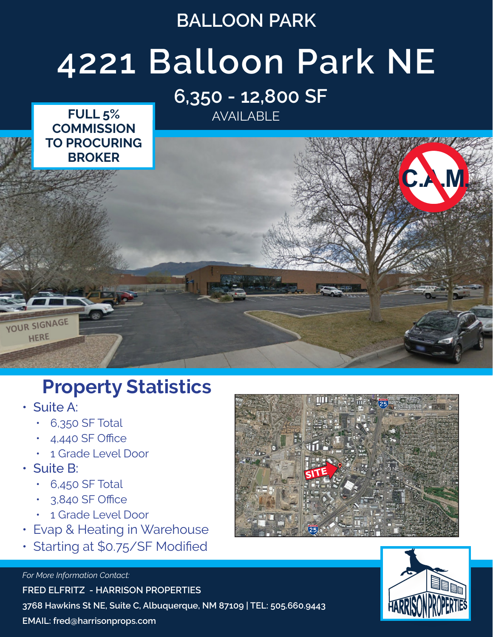### **BALLOON PARK**

# **4221 Balloon Park NE**

 **6,350 - 12,800 SF AVAIL ABLE** 



### **Property Statistics**

- Suite A:
	- $\cdot$  6,350 SF Total
	- $\cdot$  4,440 SF Office
	- 1 Grade Level Door

**FULL 5%** 

- Suite B:
	- $\cdot$  6,450 SF Total
	- 3,840 SF Office
	- 1 Grade Level Door
- Evap & Heating in Warehouse
- Starting at \$0.75/SF Modified



*For More Information Contact:* **FRED ELFRITZ - HARRISON PROPERTIES 3768 Hawkins St NE, Suite C, Albuquerque, NM 87109 | TEL: 505.660.9443 EMAIL: fred@harrisonprops.com**